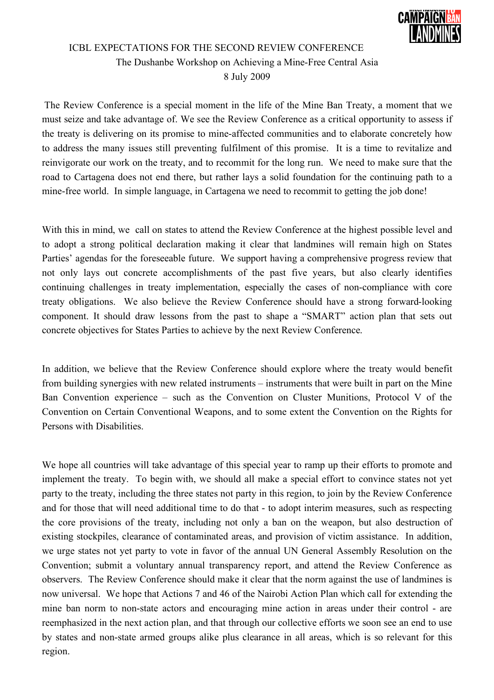

## ICBL EXPECTATIONS FOR THE SECOND REVIEW CONFERENCE The Dushanbe Workshop on Achieving a Mine-Free Central Asia 8 July 2009

 The Review Conference is a special moment in the life of the Mine Ban Treaty, a moment that we must seize and take advantage of. We see the Review Conference as a critical opportunity to assess if the treaty is delivering on its promise to mine-affected communities and to elaborate concretely how to address the many issues still preventing fulfilment of this promise. It is a time to revitalize and reinvigorate our work on the treaty, and to recommit for the long run. We need to make sure that the road to Cartagena does not end there, but rather lays a solid foundation for the continuing path to a mine-free world. In simple language, in Cartagena we need to recommit to getting the job done!

With this in mind, we call on states to attend the Review Conference at the highest possible level and to adopt a strong political declaration making it clear that landmines will remain high on States Parties' agendas for the foreseeable future. We support having a comprehensive progress review that not only lays out concrete accomplishments of the past five years, but also clearly identifies continuing challenges in treaty implementation, especially the cases of non-compliance with core treaty obligations. We also believe the Review Conference should have a strong forward-looking component. It should draw lessons from the past to shape a "SMART" action plan that sets out concrete objectives for States Parties to achieve by the next Review Conference.

In addition, we believe that the Review Conference should explore where the treaty would benefit from building synergies with new related instruments – instruments that were built in part on the Mine Ban Convention experience – such as the Convention on Cluster Munitions, Protocol V of the Convention on Certain Conventional Weapons, and to some extent the Convention on the Rights for Persons with Disabilities.

We hope all countries will take advantage of this special year to ramp up their efforts to promote and implement the treaty. To begin with, we should all make a special effort to convince states not yet party to the treaty, including the three states not party in this region, to join by the Review Conference and for those that will need additional time to do that - to adopt interim measures, such as respecting the core provisions of the treaty, including not only a ban on the weapon, but also destruction of existing stockpiles, clearance of contaminated areas, and provision of victim assistance. In addition, we urge states not yet party to vote in favor of the annual UN General Assembly Resolution on the Convention; submit a voluntary annual transparency report, and attend the Review Conference as observers. The Review Conference should make it clear that the norm against the use of landmines is now universal. We hope that Actions 7 and 46 of the Nairobi Action Plan which call for extending the mine ban norm to non-state actors and encouraging mine action in areas under their control - are reemphasized in the next action plan, and that through our collective efforts we soon see an end to use by states and non-state armed groups alike plus clearance in all areas, which is so relevant for this region.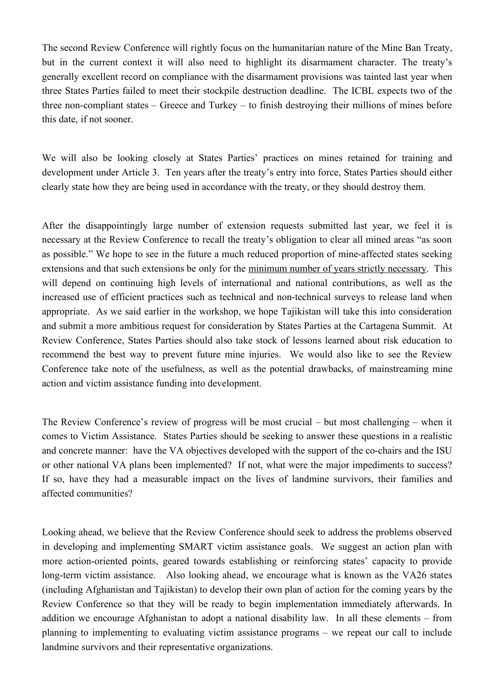The second Review Conference will rightly focus on the humanitarian nature of the Mine Ban Treaty, but in the current context it will also need to highlight its disarmament character. The treaty's generally excellent record on compliance with the disarmament provisions was tainted last year when three States Parties failed to meet their stockpile destruction deadline. The ICBL expects two of the three non-compliant states – Greece and Turkey – to finish destroying their millions of mines before this date, if not sooner.

We will also be looking closely at States Parties' practices on mines retained for training and development under Article 3. Ten years after the treaty's entry into force, States Parties should either clearly state how they are being used in accordance with the treaty, or they should destroy them.

After the disappointingly large number of extension requests submitted last year, we feel it is necessary at the Review Conference to recall the treaty's obligation to clear all mined areas "as soon as possible." We hope to see in the future a much reduced proportion of mine-affected states seeking extensions and that such extensions be only for the minimum number of years strictly necessary. This will depend on continuing high levels of international and national contributions, as well as the increased use of efficient practices such as technical and non-technical surveys to release land when appropriate. As we said earlier in the workshop, we hope Tajikistan will take this into consideration and submit a more ambitious request for consideration by States Parties at the Cartagena Summit. At Review Conference, States Parties should also take stock of lessons learned about risk education to recommend the best way to prevent future mine injuries. We would also like to see the Review Conference take note of the usefulness, as well as the potential drawbacks, of mainstreaming mine action and victim assistance funding into development.

The Review Conference's review of progress will be most crucial – but most challenging – when it comes to Victim Assistance. States Parties should be seeking to answer these questions in a realistic and concrete manner: have the VA objectives developed with the support of the co-chairs and the ISU or other national VA plans been implemented? If not, what were the major impediments to success? If so, have they had a measurable impact on the lives of landmine survivors, their families and affected communities?

Looking ahead, we believe that the Review Conference should seek to address the problems observed in developing and implementing SMART victim assistance goals. We suggest an action plan with more action-oriented points, geared towards establishing or reinforcing states' capacity to provide long-term victim assistance. Also looking ahead, we encourage what is known as the VA26 states (including Afghanistan and Tajikistan) to develop their own plan of action for the coming years by the Review Conference so that they will be ready to begin implementation immediately afterwards. In addition we encourage Afghanistan to adopt a national disability law. In all these elements – from planning to implementing to evaluating victim assistance programs – we repeat our call to include landmine survivors and their representative organizations.